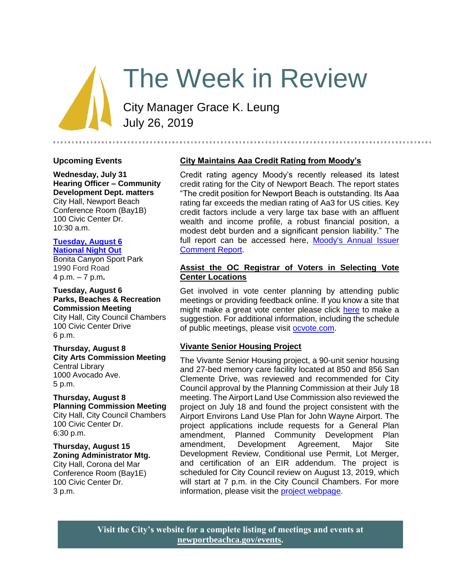# The Week in Review

City Manager Grace K. Leung July 26, 2019

#### **Upcoming Events**

**Wednesday, July 31 Hearing Officer – Community Development Dept. matters** City Hall, Newport Beach Conference Room (Bay1B) 100 Civic Center Dr. 10:30 a.m.

#### **[Tuesday, August 6](http://www.nbpd.org/community/crimeprevention/nno.asp) [National Night Out](http://www.nbpd.org/community/crimeprevention/nno.asp)**

Bonita Canyon Sport Park 1990 Ford Road 4 p.m. – 7 p.m**.**

#### **Tuesday, August 6 Parks, Beaches & Recreation Commission Meeting**

City Hall, City Council Chambers 100 Civic Center Drive 6 p.m.

**Thursday, August 8 City Arts Commission Meeting** Central Library 1000 Avocado Ave. 5 p.m.

**Thursday, August 8 Planning Commission Meeting** City Hall, City Council Chambers 100 Civic Center Dr. 6:30 p.m.

**Thursday, August 15 Zoning Administrator Mtg.** City Hall, Corona del Mar Conference Room (Bay1E) 100 Civic Center Dr. 3 p.m.

# **City Maintains Aaa Credit Rating from Moody's**

Credit rating agency Moody's recently released its latest credit rating for the City of Newport Beach. The report states "The credit position for Newport Beach is outstanding. Its Aaa rating far exceeds the median rating of Aa3 for US cities. Key credit factors include a very large tax base with an affluent wealth and income profile, a robust financial position, a modest debt burden and a significant pension liability." The full report can be accessed here, Moody's Annual Issuer [Comment Report.](https://www.newportbeachca.gov/Home/ShowDocument?id=64386)

## **Assist the OC Registrar of Voters in Selecting Vote Center Locations**

Get involved in vote center planning by attending public meetings or providing feedback online. If you know a site that might make a great vote center please click [here](https://www.ocvote.com/fileadmin/vc/site_suggestion.html) to make a suggestion. For additional information, including the schedule of public meetings, please visit [ocvote.com.](https://www.ocvote.com/fileadmin/vc/public_input.html)

### **Vivante Senior Housing Project**

The Vivante Senior Housing project, a 90-unit senior housing and 27-bed memory care facility located at 850 and 856 San Clemente Drive, was reviewed and recommended for City Council approval by the Planning Commission at their July 18 meeting. The Airport Land Use Commission also reviewed the project on July 18 and found the project consistent with the Airport Environs Land Use Plan for John Wayne Airport. The project applications include requests for a General Plan amendment, Planned Community Development Plan amendment, Development Agreement, Major Site Development Review, Conditional use Permit, Lot Merger, and certification of an EIR addendum. The project is scheduled for City Council review on August 13, 2019, which will start at 7 p.m. in the City Council Chambers. For more information, please visit the [project webpage.](https://www.newportbeachca.gov/government/departments/community-development/planning-division/current-projects-and-cases/vivante-senior-housing-projecthttps:/www.newportbeachca.gov/government/departments/community-development/planning-division/current-projects-and-cases/vivante-senior-housing-project)

**Visit the City's website for a complete listing of meetings and events at [newportbeachca.gov/events.](https://www.newportbeachca.gov/government/open-government/city-calendar)**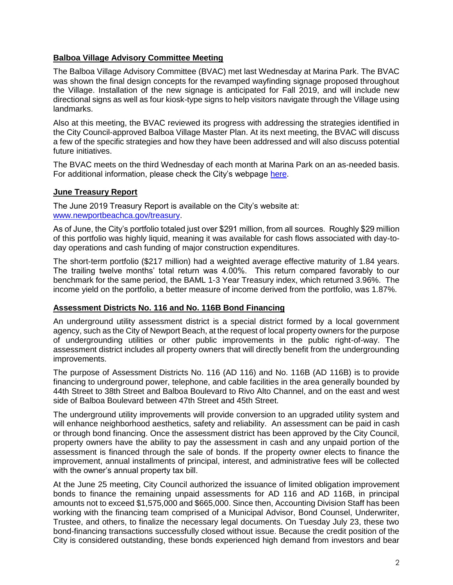# **Balboa Village Advisory Committee Meeting**

The Balboa Village Advisory Committee (BVAC) met last Wednesday at Marina Park. The BVAC was shown the final design concepts for the revamped wayfinding signage proposed throughout the Village. Installation of the new signage is anticipated for Fall 2019, and will include new directional signs as well as four kiosk-type signs to help visitors navigate through the Village using landmarks.

Also at this meeting, the BVAC reviewed its progress with addressing the strategies identified in the City Council-approved Balboa Village Master Plan. At its next meeting, the BVAC will discuss a few of the specific strategies and how they have been addressed and will also discuss potential future initiatives.

The BVAC meets on the third Wednesday of each month at Marina Park on an as-needed basis. For additional information, please check the City's webpage [here.](https://www.newportbeachca.gov/government/open-government/agendas-minutes/balboa-village-advisory-committee-agenda-bvac)

# **June Treasury Report**

The June 2019 Treasury Report is available on the City's website at: [www.newportbeachca.gov/treasury.](http://www.newportbeachca.gov/treasury)

As of June, the City's portfolio totaled just over \$291 million, from all sources. Roughly \$29 million of this portfolio was highly liquid, meaning it was available for cash flows associated with day-today operations and cash funding of major construction expenditures.

The short-term portfolio (\$217 million) had a weighted average effective maturity of 1.84 years. The trailing twelve months' total return was 4.00%. This return compared favorably to our benchmark for the same period, the BAML 1-3 Year Treasury index, which returned 3.96%. The income yield on the portfolio, a better measure of income derived from the portfolio, was 1.87%.

### **Assessment Districts No. 116 and No. 116B Bond Financing**

An underground utility assessment district is a special district formed by a local government agency, such as the City of Newport Beach, at the request of local property owners for the purpose of undergrounding utilities or other public improvements in the public right-of-way. The assessment district includes all property owners that will directly benefit from the undergrounding improvements.

The purpose of Assessment Districts No. 116 (AD 116) and No. 116B (AD 116B) is to provide financing to underground power, telephone, and cable facilities in the area generally bounded by 44th Street to 38th Street and Balboa Boulevard to Rivo Alto Channel, and on the east and west side of Balboa Boulevard between 47th Street and 45th Street.

The underground utility improvements will provide conversion to an upgraded utility system and will enhance neighborhood aesthetics, safety and reliability. An assessment can be paid in cash or through bond financing. Once the assessment district has been approved by the City Council, property owners have the ability to pay the assessment in cash and any unpaid portion of the assessment is financed through the sale of bonds. If the property owner elects to finance the improvement, annual installments of principal, interest, and administrative fees will be collected with the owner's annual property tax bill.

At the June 25 meeting, City Council authorized the issuance of limited obligation improvement bonds to finance the remaining unpaid assessments for AD 116 and AD 116B, in principal amounts not to exceed \$1,575,000 and \$665,000. Since then, Accounting Division Staff has been working with the financing team comprised of a Municipal Advisor, Bond Counsel, Underwriter, Trustee, and others, to finalize the necessary legal documents. On Tuesday July 23, these two bond-financing transactions successfully closed without issue. Because the credit position of the City is considered outstanding, these bonds experienced high demand from investors and bear